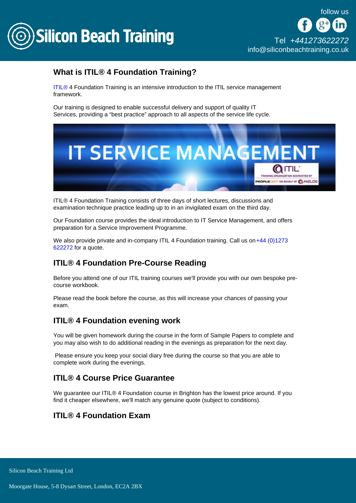

[Tel +44](tel:+441273622272)1273622272 [info@siliconbeachtraining.co.uk](/var/www/html/siliconbeachtraining.co.uk/public/mailTo:info@siliconbeachtraining.co.uk)

# What is ITIL<sup>®</sup> 4 Foundation Training?

[ITIL®](/itil-training) 4 Foundation Training is an intensive introduction to the ITIL service management framework.

Our training is designed to enable successful delivery and support of quality IT Services, providing a "best practice" approach to all aspects of the service life cycle.

ITIL® 4 Foundation Training consists of three days of short lectures, discussions and examination technique practice leading up to in an invigilated exam on the third day.

Our Foundation course provides the ideal introduction to IT Service Management, and offers preparation for a Service Improvement Programme.

We also provide private and in-company ITIL 4 Foundation training. Call us on +44 (0)1273 [622272](tel:441273622272) for a quote.

## ITIL® 4 Foundation Pre-Course Reading

Before you attend one of our ITIL training courses we'll provide you with our own bespoke precourse workbook.

Please read the book before the course, as this will increase your chances of passing your exam.

## ITIL® 4 Foundation evening work

You will be given homework during the course in the form of Sample Papers to complete and you may also wish to do additional reading in the evenings as preparation for the next day.

 Please ensure you keep your social diary free during the course so that you are able to complete work during the evenings.

### ITIL® 4 Course Price Guarantee

We guarantee our ITIL® 4 Foundation course in Brighton has the lowest price around. If you find it cheaper elsewhere, we'll match any genuine quote (subject to conditions).

## ITIL® 4 Foundation Exam

Silicon Beach Training Ltd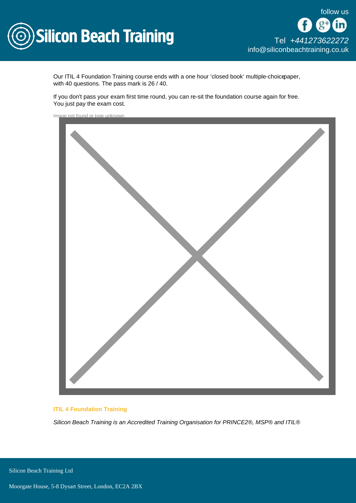

Our ITIL 4 Foundation Training course ends with a one hour 'closed book' multiple-choicepaper, with 40 questions. The pass mark is 26 / 40.

If you don't pass your exam first time round, you can re-sit the foundation course again for free. You just pay the exam cost.

Image not found or type unknown



#### ITIL 4 Foundation Training

Silicon Beach Training is an Accredited Training Organisation for PRINCE2®, MSP® and ITIL®

**Silicon Beach Training Ltd**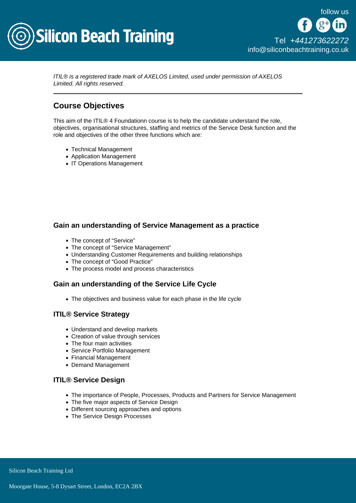

ITIL® is a registered trade mark of AXELOS Limited, used under permission of AXELOS Limited. All rights reserved.

## Course Objectives

This aim of the ITIL® 4 Foundationn course is to help the candidate understand the role, objectives, organisational structures, staffing and metrics of the Service Desk function and the role and objectives of the other three functions which are:

- Technical Management
- Application Management
- IT Operations Management

Gain an understanding of Service Management as a practice

- The concept of "Service"
- The concept of "Service Management"
- Understanding Customer Requirements and building relationships
- The concept of "Good Practice"
- The process model and process characteristics

Gain an understanding of the Service Life Cycle

• The objectives and business value for each phase in the life cycle

#### ITIL® Service Strategy

- Understand and develop markets
- Creation of value through services
- The four main activities
- Service Portfolio Management
- Financial Management
- Demand Management

#### ITIL® Service Design

- The importance of People, Processes, Products and Partners for Service Management
- The five major aspects of Service Design
- Different sourcing approaches and options
- The Service Design Processes

Silicon Beach Training Ltd